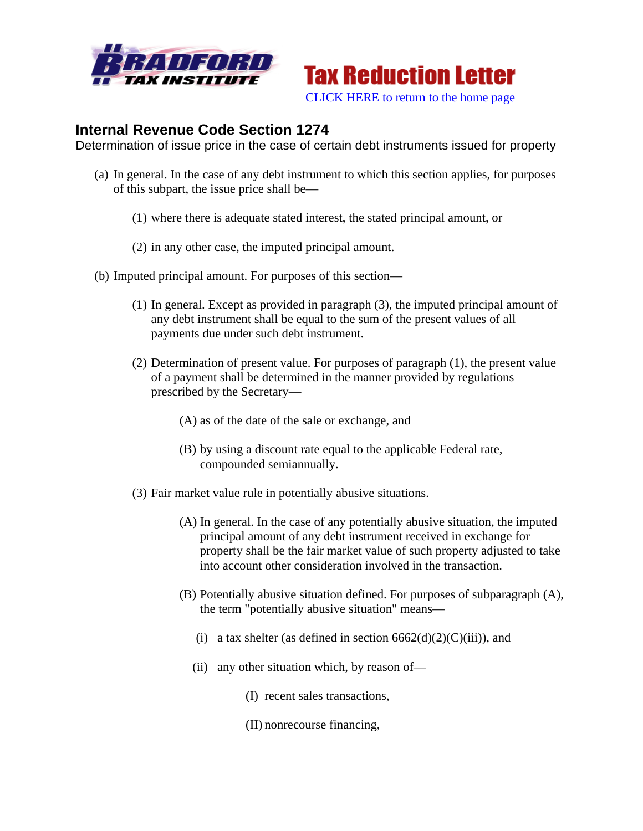



## **Internal Revenue Code Section 1274**

Determination of issue price in the case of certain debt instruments issued for property

- (a) In general. In the case of any debt instrument to which this section applies, for purposes of this subpart, the issue price shall be—
	- (1) where there is adequate stated interest, the stated principal amount, or
	- (2) in any other case, the imputed principal amount.
- (b) Imputed principal amount. For purposes of this section—
	- (1) In general. Except as provided in paragraph (3), the imputed principal amount of any debt instrument shall be equal to the sum of the present values of all payments due under such debt instrument.
	- (2) Determination of present value. For purposes of paragraph (1), the present value of a payment shall be determined in the manner provided by regulations prescribed by the Secretary—
		- (A) as of the date of the sale or exchange, and
		- (B) by using a discount rate equal to the applicable Federal rate, compounded semiannually.
	- (3) Fair market value rule in potentially abusive situations.
		- (A) In general. In the case of any potentially abusive situation, the imputed principal amount of any debt instrument received in exchange for property shall be the fair market value of such property adjusted to take into account other consideration involved in the transaction.
		- (B) Potentially abusive situation defined. For purposes of subparagraph (A), the term "potentially abusive situation" means—
			- (i) a tax shelter (as defined in section  $6662(d)(2)(C)(iii)$ ), and
			- (ii) any other situation which, by reason of—
				- (I) recent sales transactions,
				- (II) nonrecourse financing,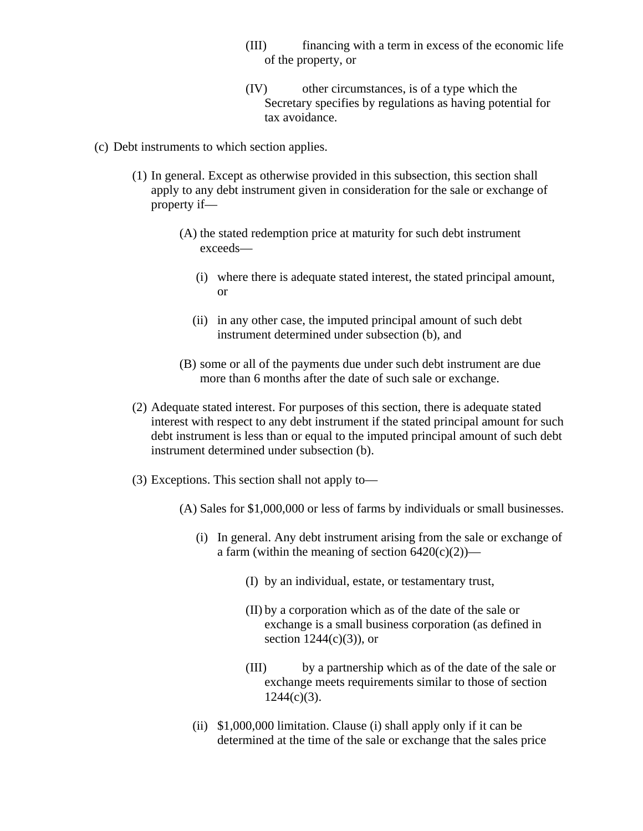- (III) financing with a term in excess of the economic life of the property, or
- (IV) other circumstances, is of a type which the Secretary specifies by regulations as having potential for tax avoidance.
- (c) Debt instruments to which section applies.
	- (1) In general. Except as otherwise provided in this subsection, this section shall apply to any debt instrument given in consideration for the sale or exchange of property if—
		- (A) the stated redemption price at maturity for such debt instrument exceeds—
			- (i) where there is adequate stated interest, the stated principal amount, or
			- (ii) in any other case, the imputed principal amount of such debt instrument determined under subsection (b), and
		- (B) some or all of the payments due under such debt instrument are due more than 6 months after the date of such sale or exchange.
	- (2) Adequate stated interest. For purposes of this section, there is adequate stated interest with respect to any debt instrument if the stated principal amount for such debt instrument is less than or equal to the imputed principal amount of such debt instrument determined under subsection (b).
	- (3) Exceptions. This section shall not apply to—
		- (A) Sales for \$1,000,000 or less of farms by individuals or small businesses.
			- (i) In general. Any debt instrument arising from the sale or exchange of a farm (within the meaning of section  $6420(c)(2)$ )—
				- (I) by an individual, estate, or testamentary trust,
				- (II) by a corporation which as of the date of the sale or exchange is a small business corporation (as defined in section  $1244(c)(3)$ , or
				- (III) by a partnership which as of the date of the sale or exchange meets requirements similar to those of section  $1244(c)(3)$ .
			- (ii) \$1,000,000 limitation. Clause (i) shall apply only if it can be determined at the time of the sale or exchange that the sales price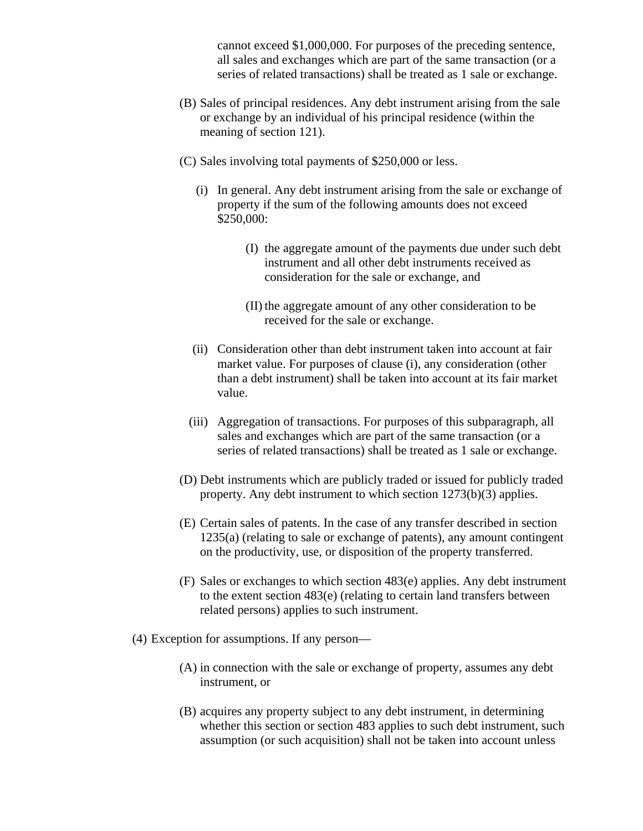cannot exceed \$1,000,000. For purposes of the preceding sentence, all sales and exchanges which are part of the same transaction (or a series of related transactions) shall be treated as 1 sale or exchange.

- (B) Sales of principal residences. Any debt instrument arising from the sale or exchange by an individual of his principal residence (within the meaning of section 121).
- (C) Sales involving total payments of \$250,000 or less.
	- (i) In general. Any debt instrument arising from the sale or exchange of property if the sum of the following amounts does not exceed \$250,000:
		- (I) the aggregate amount of the payments due under such debt instrument and all other debt instruments received as consideration for the sale or exchange, and
		- (II) the aggregate amount of any other consideration to be received for the sale or exchange.
	- (ii) Consideration other than debt instrument taken into account at fair market value. For purposes of clause (i), any consideration (other than a debt instrument) shall be taken into account at its fair market value.
	- (iii) Aggregation of transactions. For purposes of this subparagraph, all sales and exchanges which are part of the same transaction (or a series of related transactions) shall be treated as 1 sale or exchange.
- (D) Debt instruments which are publicly traded or issued for publicly traded property. Any debt instrument to which section 1273(b)(3) applies.
- (E) Certain sales of patents. In the case of any transfer described in section 1235(a) (relating to sale or exchange of patents), any amount contingent on the productivity, use, or disposition of the property transferred.
- (F) Sales or exchanges to which section 483(e) applies. Any debt instrument to the extent section 483(e) (relating to certain land transfers between related persons) applies to such instrument.
- (4) Exception for assumptions. If any person—
	- (A) in connection with the sale or exchange of property, assumes any debt instrument, or
	- (B) acquires any property subject to any debt instrument, in determining whether this section or section 483 applies to such debt instrument, such assumption (or such acquisition) shall not be taken into account unless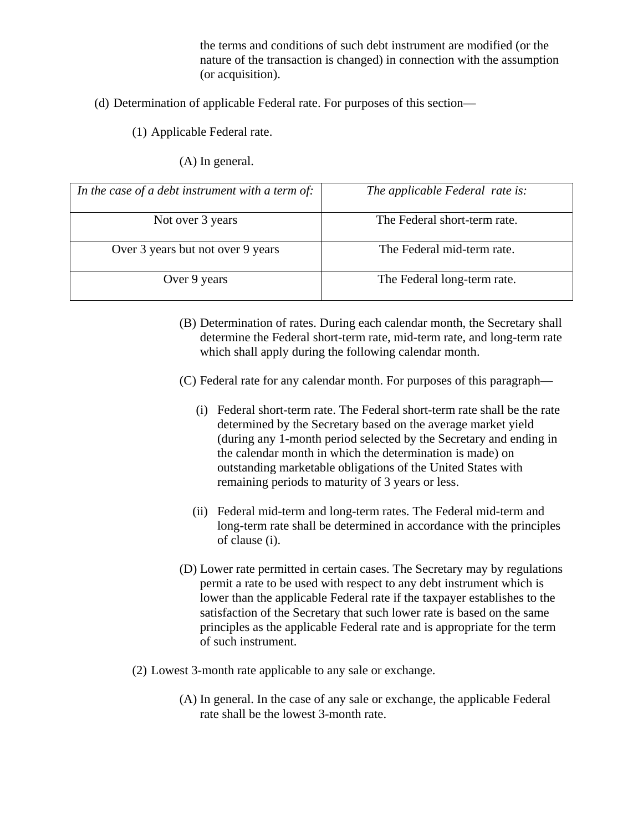the terms and conditions of such debt instrument are modified (or the nature of the transaction is changed) in connection with the assumption (or acquisition).

- (d) Determination of applicable Federal rate. For purposes of this section—
	- (1) Applicable Federal rate.
		- (A) In general.

| In the case of a debt instrument with a term of: | The applicable Federal rate is: |
|--------------------------------------------------|---------------------------------|
| Not over 3 years                                 | The Federal short-term rate.    |
| Over 3 years but not over 9 years                | The Federal mid-term rate.      |
| Over 9 years                                     | The Federal long-term rate.     |

- (B) Determination of rates. During each calendar month, the Secretary shall determine the Federal short-term rate, mid-term rate, and long-term rate which shall apply during the following calendar month.
- (C) Federal rate for any calendar month. For purposes of this paragraph—
	- (i) Federal short-term rate. The Federal short-term rate shall be the rate determined by the Secretary based on the average market yield (during any 1-month period selected by the Secretary and ending in the calendar month in which the determination is made) on outstanding marketable obligations of the United States with remaining periods to maturity of 3 years or less.
	- (ii) Federal mid-term and long-term rates. The Federal mid-term and long-term rate shall be determined in accordance with the principles of clause (i).
- (D) Lower rate permitted in certain cases. The Secretary may by regulations permit a rate to be used with respect to any debt instrument which is lower than the applicable Federal rate if the taxpayer establishes to the satisfaction of the Secretary that such lower rate is based on the same principles as the applicable Federal rate and is appropriate for the term of such instrument.
- (2) Lowest 3-month rate applicable to any sale or exchange.
	- (A) In general. In the case of any sale or exchange, the applicable Federal rate shall be the lowest 3-month rate.